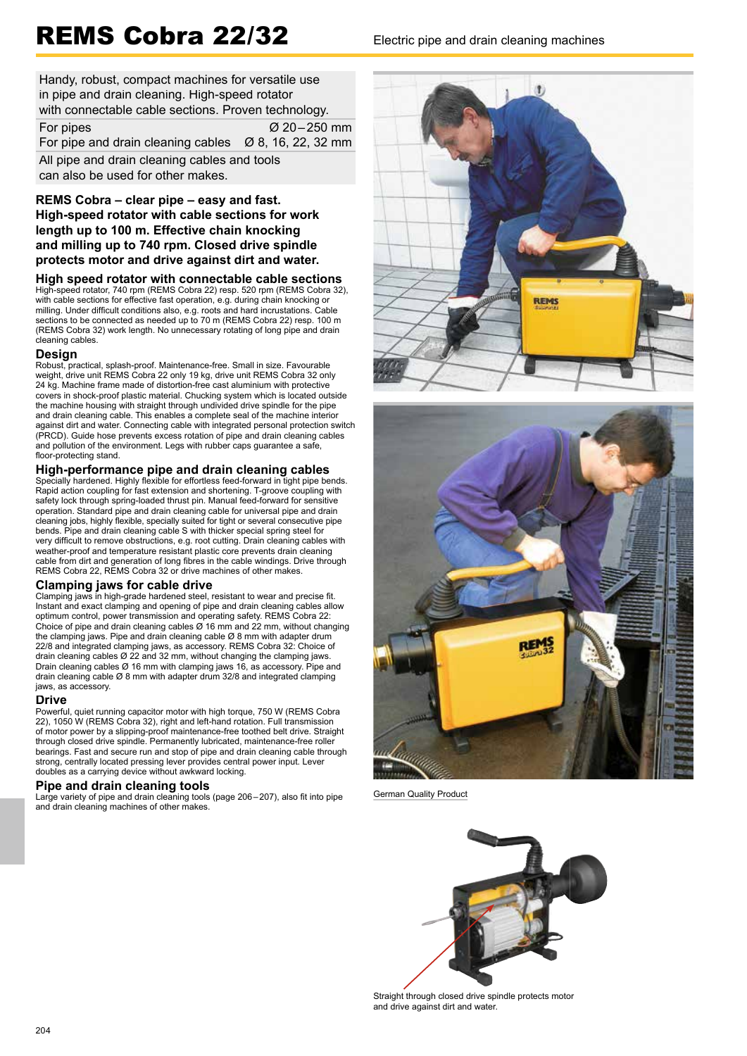# REMS Cobra 22/32 Electric pipe and drain cleaning machines

Handy, robust, compact machines for versatile use in pipe and drain cleaning. High-speed rotator with connectable cable sections. Proven technology. For pipes  $\alpha$  20 – 250 mm For pipe and drain cleaning cables  $\varnothing$  8, 16, 22, 32 mm All pipe and drain cleaning cables and tools can also be used for other makes.

# **REMS Cobra – clear pipe – easy and fast. High-speed rotator with cable sections for work length up to 100 m. Effective chain knocking and milling up to 740 rpm. Closed drive spindle protects motor and drive against dirt and water.**

**High speed rotator with connectable cable sections** High-speed rotator, 740 rpm (REMS Cobra 22) resp. 520 rpm (REMS Cobra 32), with cable sections for effective fast operation, e.g. during chain knocking or milling. Under difficult conditions also, e.g. roots and hard incrustations. Cable sections to be connected as needed up to 70 m (REMS Cobra 22) resp. 100 m (REMS Cobra 32) work length. No unnecessary rotating of long pipe and drain cleaning cables.

## **Design**

Robust, practical, splash-proof. Maintenance-free. Small in size. Favourable weight, drive unit REMS Cobra 22 only 19 kg, drive unit REMS Cobra 32 only 24 kg. Machine frame made of distortion-free cast aluminium with protective covers in shock-proof plastic material. Chucking system which is located outside the machine housing with straight through undivided drive spindle for the pipe and drain cleaning cable. This enables a complete seal of the machine interior against dirt and water. Connecting cable with integrated personal protection switch (PRCD). Guide hose prevents excess rotation of pipe and drain cleaning cables and pollution of the environment. Legs with rubber caps guarantee a safe, floor-protecting stand.

# **High-performance pipe and drain cleaning cables**

Specially hardened. Highly flexible for effortless feed-forward in tight pipe bends. Rapid action coupling for fast extension and shortening. T-groove coupling with safety lock through spring-loaded thrust pin. Manual feed-forward for sensitive operation. Standard pipe and drain cleaning cable for universal pipe and drain cleaning jobs, highly flexible, specially suited for tight or several consecutive pipe bends. Pipe and drain cleaning cable S with thicker special spring steel for very difficult to remove obstructions, e.g. root cutting. Drain cleaning cables with weather-proof and temperature resistant plastic core prevents drain cleaning cable from dirt and generation of long fibres in the cable windings. Drive through REMS Cobra 22, REMS Cobra 32 or drive machines of other makes.

# **Clamping jaws for cable drive**

Clamping jaws in high-grade hardened steel, resistant to wear and precise fit. Instant and exact clamping and opening of pipe and drain cleaning cables allow optimum control, power transmission and operating safety. REMS Cobra 22: Choice of pipe and drain cleaning cables Ø 16 mm and 22 mm, without changing the clamping jaws. Pipe and drain cleaning cable Ø 8 mm with adapter drum 22/8 and integrated clamping jaws, as accessory. REMS Cobra 32: Choice of drain cleaning cables Ø 22 and 32 mm, without changing the clamping jaws. Drain cleaning cables Ø 16 mm with clamping jaws 16, as accessory. Pipe and drain cleaning cable Ø 8 mm with adapter drum 32/8 and integrated clamping jaws, as accessory.

## **Drive**

Powerful, quiet running capacitor motor with high torque, 750 W (REMS Cobra 22), 1050 W (REMS Cobra 32), right and left-hand rotation. Full transmission of motor power by a slipping-proof maintenance-free toothed belt drive. Straight through closed drive spindle. Permanently lubricated, maintenance-free roller bearings. Fast and secure run and stop of pipe and drain cleaning cable through strong, centrally located pressing lever provides central power input. Lever doubles as a carrying device without awkward locking.

# **Pipe and drain cleaning tools**

Large variety of pipe and drain cleaning tools (page 206–207), also fit into pipe and drain cleaning machines of other makes.





German Quality Product



Straight through closed drive spindle protects motor and drive against dirt and water.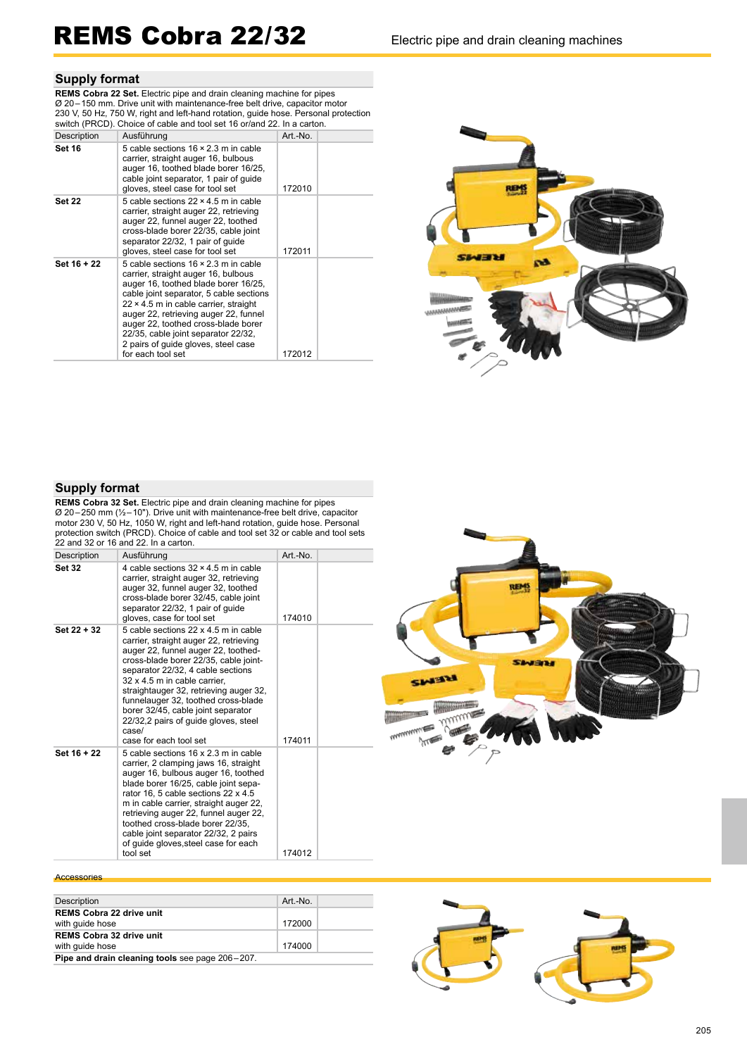# REMS Cobra 22/32 Electric pipe and drain cleaning machines

# **Supply format**

**REMS Cobra 22 Set.** Electric pipe and drain cleaning machine for pipes Ø 20 – 150 mm. Drive unit with maintenance-free belt drive, capacitor motor 230 V, 50 Hz, 750 W, right and left-hand rotation, guide hose. Personal protection switch (PRCD). Choice of cable and tool set 16 or/and 22. In a carton.

| Description   | Ausführung                                                                                                                                                                                                                                                                                                                                                                                               | Art.-No. |
|---------------|----------------------------------------------------------------------------------------------------------------------------------------------------------------------------------------------------------------------------------------------------------------------------------------------------------------------------------------------------------------------------------------------------------|----------|
| <b>Set 16</b> | 5 cable sections $16 \times 2.3$ m in cable<br>carrier, straight auger 16, bulbous<br>auger 16, toothed blade borer 16/25,<br>cable joint separator, 1 pair of quide<br>gloves, steel case for tool set                                                                                                                                                                                                  | 172010   |
| <b>Set 22</b> | 5 cable sections $22 \times 4.5$ m in cable<br>carrier, straight auger 22, retrieving<br>auger 22, funnel auger 22, toothed<br>cross-blade borer 22/35, cable joint<br>separator 22/32, 1 pair of quide<br>gloves, steel case for tool set                                                                                                                                                               | 172011   |
| Set 16 + 22   | 5 cable sections $16 \times 2.3$ m in cable<br>carrier, straight auger 16, bulbous<br>auger 16, toothed blade borer 16/25,<br>cable joint separator, 5 cable sections<br>$22 \times 4.5$ m in cable carrier, straight<br>auger 22, retrieving auger 22, funnel<br>auger 22, toothed cross-blade borer<br>22/35, cable joint separator 22/32,<br>2 pairs of guide gloves, steel case<br>for each tool set | 172012   |



# **Supply format**

**REMS Cobra 32 Set.** Electric pipe and drain cleaning machine for pipes Ø 20 – 250 mm (½ – 10"). Drive unit with maintenance-free belt drive, capacitor motor 230 V, 50 Hz, 1050 W, right and left-hand rotation, guide hose. Personal protection switch (PRCD). Choice of cable and tool set 32 or cable and tool sets

| 22 and 32 or 16 and 22. In a carton.                                                                                                                                                                                                                                                                                                                                                                                                  |          |                        |
|---------------------------------------------------------------------------------------------------------------------------------------------------------------------------------------------------------------------------------------------------------------------------------------------------------------------------------------------------------------------------------------------------------------------------------------|----------|------------------------|
| Ausführung                                                                                                                                                                                                                                                                                                                                                                                                                            | Art.-No. |                        |
| 4 cable sections $32 \times 4.5$ m in cable<br>carrier, straight auger 32, retrieving<br>auger 32, funnel auger 32, toothed<br>cross-blade borer 32/45, cable joint<br>separator 22/32, 1 pair of quide<br>gloves, case for tool set                                                                                                                                                                                                  | 174010   | <b>REMS</b>            |
| 5 cable sections 22 x 4.5 m in cable<br>carrier, straight auger 22, retrieving<br>auger 22, funnel auger 22, toothed-<br>cross-blade borer 22/35, cable joint-<br>separator 22/32, 4 cable sections<br>32 x 4.5 m in cable carrier,<br>straightauger 32, retrieving auger 32,<br>funnelauger 32, toothed cross-blade<br>borer 32/45, cable joint separator<br>22/32,2 pairs of quide gloves, steel<br>case/<br>case for each tool set | 174011   | SINERI<br><b>SMITH</b> |
| 5 cable sections 16 x 2.3 m in cable<br>carrier, 2 clamping jaws 16, straight<br>auger 16, bulbous auger 16, toothed<br>blade borer 16/25, cable joint sepa-<br>rator 16, 5 cable sections 22 x 4.5<br>m in cable carrier, straight auger 22,<br>retrieving auger 22, funnel auger 22,<br>toothed cross-blade borer 22/35,<br>cable joint separator 22/32, 2 pairs<br>of quide gloves, steel case for each                            | 174012   |                        |
|                                                                                                                                                                                                                                                                                                                                                                                                                                       | tool set |                        |

### **Accessories**

| Description                                     | Art.-No. |  |  |
|-------------------------------------------------|----------|--|--|
| <b>REMS Cobra 22 drive unit</b>                 |          |  |  |
| with quide hose                                 | 172000   |  |  |
| <b>REMS Cobra 32 drive unit</b>                 |          |  |  |
| with quide hose                                 | 174000   |  |  |
| Pipe and drain cleaning tools see page 206-207. |          |  |  |

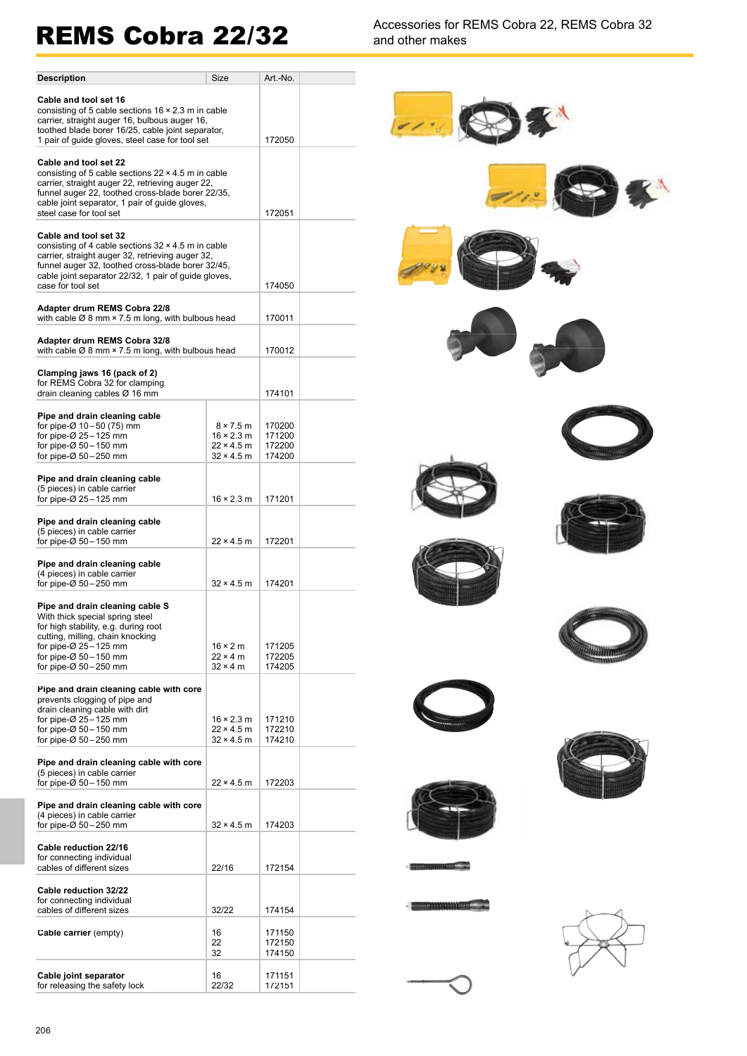REMS Cobra 22/32<br>and other makes and other makes

| <b>Description</b>                                                                                                                                                                                                                                                             | Size                                                                            | Art.-No.                             |  |
|--------------------------------------------------------------------------------------------------------------------------------------------------------------------------------------------------------------------------------------------------------------------------------|---------------------------------------------------------------------------------|--------------------------------------|--|
| Cable and tool set 16<br>consisting of 5 cable sections $16 \times 2.3$ m in cable<br>carrier, straight auger 16, bulbous auger 16,<br>toothed blade borer 16/25, cable joint separator,<br>1 pair of guide gloves, steel case for tool set                                    |                                                                                 |                                      |  |
| Cable and tool set 22<br>consisting of 5 cable sections $22 \times 4.5$ m in cable<br>carrier, straight auger 22, retrieving auger 22,<br>funnel auger 22, toothed cross-blade borer 22/35,<br>cable joint separator, 1 pair of guide gloves,                                  |                                                                                 |                                      |  |
| steel case for tool set<br>Cable and tool set 32<br>consisting of 4 cable sections $32 \times 4.5$ m in cable<br>carrier, straight auger 32, retrieving auger 32,<br>funnel auger 32, toothed cross-blade borer 32/45,<br>cable joint separator 22/32, 1 pair of guide gloves, | 172051                                                                          |                                      |  |
| case for tool set                                                                                                                                                                                                                                                              |                                                                                 | 174050                               |  |
| Adapter drum REMS Cobra 22/8<br>with cable $\varnothing$ 8 mm $\times$ 7.5 m long, with bulbous head                                                                                                                                                                           | 170011                                                                          |                                      |  |
| Adapter drum REMS Cobra 32/8<br>with cable $\varnothing$ 8 mm $\times$ 7.5 m long, with bulbous head                                                                                                                                                                           |                                                                                 | 170012                               |  |
| Clamping jaws 16 (pack of 2)<br>for REMS Cobra 32 for clamping<br>drain cleaning cables $\varnothing$ 16 mm                                                                                                                                                                    | 174101                                                                          |                                      |  |
| Pipe and drain cleaning cable<br>for pipe-Ø 10-50 (75) mm<br>for pipe- $\varnothing$ 25 - 125 mm<br>for pipe- $\varnothing$ 50 - 150 mm<br>for pipe- $\varnothing$ 50 - 250 mm                                                                                                 | $8 \times 7.5$ m<br>$16 \times 2.3$ m<br>$22 \times 4.5$ m<br>$32 \times 4.5$ m | 170200<br>171200<br>172200<br>174200 |  |
| Pipe and drain cleaning cable<br>(5 pieces) in cable carrier                                                                                                                                                                                                                   |                                                                                 |                                      |  |
| for pipe- $\varnothing$ 25 - 125 mm                                                                                                                                                                                                                                            | $16 \times 2.3$ m                                                               | 171201                               |  |
| Pipe and drain cleaning cable<br>(5 pieces) in cable carrier<br>for pipe- $\varnothing$ 50 - 150 mm                                                                                                                                                                            | $22 \times 4.5$ m                                                               | 172201                               |  |
| Pipe and drain cleaning cable                                                                                                                                                                                                                                                  |                                                                                 |                                      |  |
| (4 pieces) in cable carrier<br>for pipe- $\varnothing$ 50 - 250 mm                                                                                                                                                                                                             | $32 \times 4.5$ m                                                               | 174201                               |  |
| Pipe and drain cleaning cable S<br>With thick special spring steel<br>for high stability, e.g. during root<br>cutting, milling, chain knocking<br>for pipe- $\varnothing$ 25 - 125 mm<br>for pipe-Ø 50-150 mm<br>for pipe- $\varnothing$ 50 - 250 mm                           | $16 \times 2$ m<br>$22 \times 4$ m<br>$32 \times 4$ m                           | 171205<br>172205<br>174205           |  |
| Pipe and drain cleaning cable with core<br>prevents clogging of pipe and<br>drain cleaning cable with dirt<br>for pipe- $\varnothing$ 25 - 125 mm<br>for pipe-Ø 50-150 mm<br>for pipe- $\varnothing$ 50 - 250 mm                                                               | $16 \times 2.3$ m<br>$22 \times 4.5$ m<br>$32 \times 4.5$ m                     | 171210<br>172210<br>174210           |  |
| Pipe and drain cleaning cable with core<br>(5 pieces) in cable carrier<br>for pipe-Ø 50-150 mm                                                                                                                                                                                 | $22 \times 4.5$ m                                                               | 172203                               |  |
| Pipe and drain cleaning cable with core<br>(4 pieces) in cable carrier<br>for pipe- $\varnothing$ 50 - 250 mm                                                                                                                                                                  | 32 × 4.5 m                                                                      | 174203                               |  |
| Cable reduction 22/16<br>for connecting individual<br>cables of different sizes                                                                                                                                                                                                | 22/16                                                                           | 172154                               |  |
| Cable reduction 32/22<br>for connecting individual<br>cables of different sizes                                                                                                                                                                                                | 32/22                                                                           | 174154                               |  |
| Cable carrier (empty)                                                                                                                                                                                                                                                          | 16<br>22<br>32                                                                  | 171150<br>172150<br>174150           |  |
| Cable joint separator<br>for releasing the safety lock                                                                                                                                                                                                                         | 16<br>22/32                                                                     | 171151<br>172151                     |  |